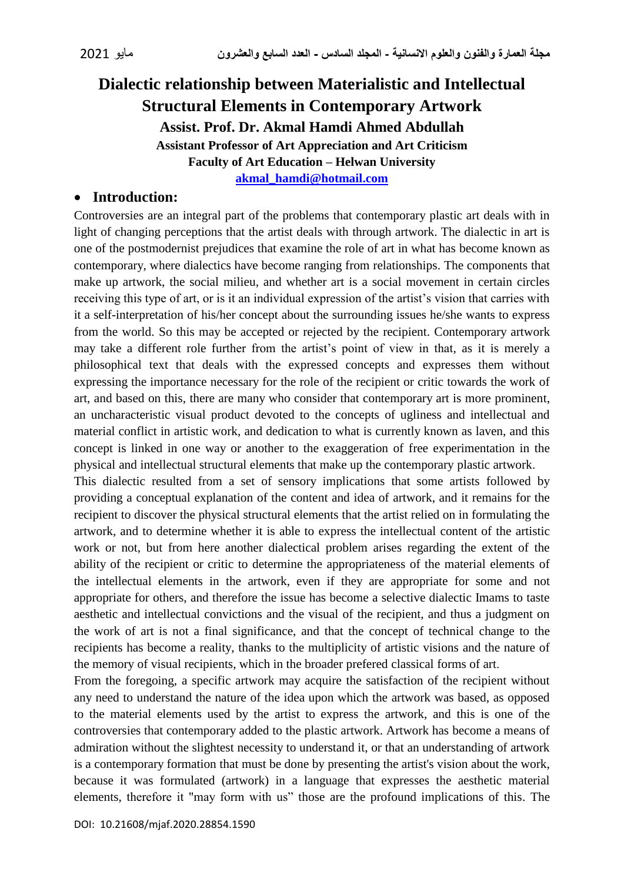# **Dialectic relationship between Materialistic and Intellectual Structural Elements in Contemporary Artwork Assist. Prof. Dr. Akmal Hamdi Ahmed Abdullah Assistant Professor of Art Appreciation and Art Criticism Faculty of Art Education – Helwan University [akmal\\_hamdi@hotmail.com](mailto:akmal_hamdi@hotmail.com)**

#### **Introduction:**

Controversies are an integral part of the problems that contemporary plastic art deals with in light of changing perceptions that the artist deals with through artwork. The dialectic in art is one of the postmodernist prejudices that examine the role of art in what has become known as contemporary, where dialectics have become ranging from relationships. The components that make up artwork, the social milieu, and whether art is a social movement in certain circles receiving this type of art, or is it an individual expression of the artist's vision that carries with it a self-interpretation of his/her concept about the surrounding issues he/she wants to express from the world. So this may be accepted or rejected by the recipient. Contemporary artwork may take a different role further from the artist's point of view in that, as it is merely a philosophical text that deals with the expressed concepts and expresses them without expressing the importance necessary for the role of the recipient or critic towards the work of art, and based on this, there are many who consider that contemporary art is more prominent, an uncharacteristic visual product devoted to the concepts of ugliness and intellectual and material conflict in artistic work, and dedication to what is currently known as laven, and this concept is linked in one way or another to the exaggeration of free experimentation in the physical and intellectual structural elements that make up the contemporary plastic artwork.

This dialectic resulted from a set of sensory implications that some artists followed by providing a conceptual explanation of the content and idea of artwork, and it remains for the recipient to discover the physical structural elements that the artist relied on in formulating the artwork, and to determine whether it is able to express the intellectual content of the artistic work or not, but from here another dialectical problem arises regarding the extent of the ability of the recipient or critic to determine the appropriateness of the material elements of the intellectual elements in the artwork, even if they are appropriate for some and not appropriate for others, and therefore the issue has become a selective dialectic Imams to taste aesthetic and intellectual convictions and the visual of the recipient, and thus a judgment on the work of art is not a final significance, and that the concept of technical change to the recipients has become a reality, thanks to the multiplicity of artistic visions and the nature of the memory of visual recipients, which in the broader prefered classical forms of art.

From the foregoing, a specific artwork may acquire the satisfaction of the recipient without any need to understand the nature of the idea upon which the artwork was based, as opposed to the material elements used by the artist to express the artwork, and this is one of the controversies that contemporary added to the plastic artwork. Artwork has become a means of admiration without the slightest necessity to understand it, or that an understanding of artwork is a contemporary formation that must be done by presenting the artist's vision about the work, because it was formulated (artwork) in a language that expresses the aesthetic material elements, therefore it "may form with us" those are the profound implications of this. The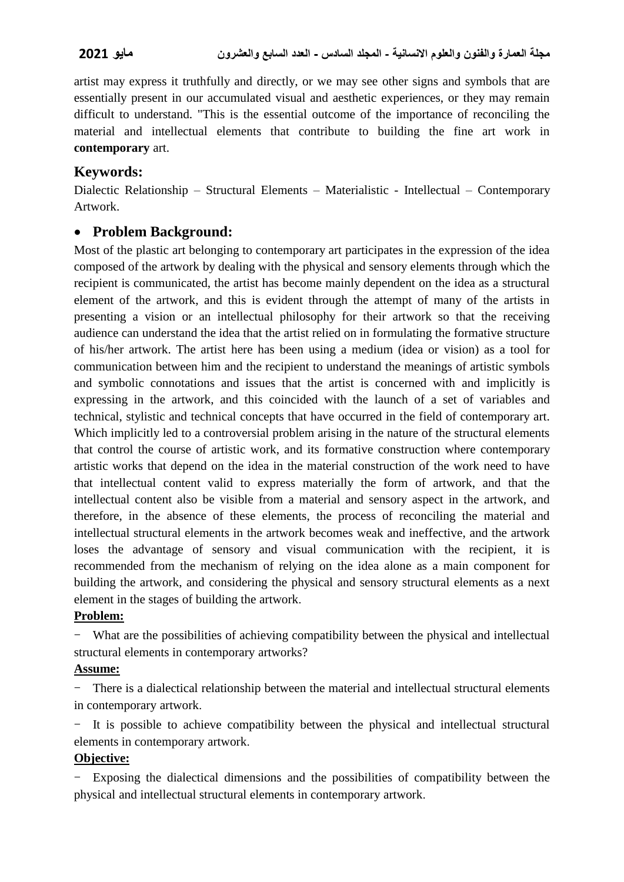artist may express it truthfully and directly, or we may see other signs and symbols that are essentially present in our accumulated visual and aesthetic experiences, or they may remain difficult to understand. "This is the essential outcome of the importance of reconciling the material and intellectual elements that contribute to building the fine art work in **contemporary** art.

## **Keywords:**

Dialectic Relationship – Structural Elements – Materialistic - Intellectual – Contemporary Artwork.

## **Problem Background:**

Most of the plastic art belonging to contemporary art participates in the expression of the idea composed of the artwork by dealing with the physical and sensory elements through which the recipient is communicated, the artist has become mainly dependent on the idea as a structural element of the artwork, and this is evident through the attempt of many of the artists in presenting a vision or an intellectual philosophy for their artwork so that the receiving audience can understand the idea that the artist relied on in formulating the formative structure of his/her artwork. The artist here has been using a medium (idea or vision) as a tool for communication between him and the recipient to understand the meanings of artistic symbols and symbolic connotations and issues that the artist is concerned with and implicitly is expressing in the artwork, and this coincided with the launch of a set of variables and technical, stylistic and technical concepts that have occurred in the field of contemporary art. Which implicitly led to a controversial problem arising in the nature of the structural elements that control the course of artistic work, and its formative construction where contemporary artistic works that depend on the idea in the material construction of the work need to have that intellectual content valid to express materially the form of artwork, and that the intellectual content also be visible from a material and sensory aspect in the artwork, and therefore, in the absence of these elements, the process of reconciling the material and intellectual structural elements in the artwork becomes weak and ineffective, and the artwork loses the advantage of sensory and visual communication with the recipient, it is recommended from the mechanism of relying on the idea alone as a main component for building the artwork, and considering the physical and sensory structural elements as a next element in the stages of building the artwork.

### **Problem:**

- What are the possibilities of achieving compatibility between the physical and intellectual structural elements in contemporary artworks?

### **Assume:**

There is a dialectical relationship between the material and intellectual structural elements in contemporary artwork.

- It is possible to achieve compatibility between the physical and intellectual structural elements in contemporary artwork.

### **Objective:**

- Exposing the dialectical dimensions and the possibilities of compatibility between the physical and intellectual structural elements in contemporary artwork.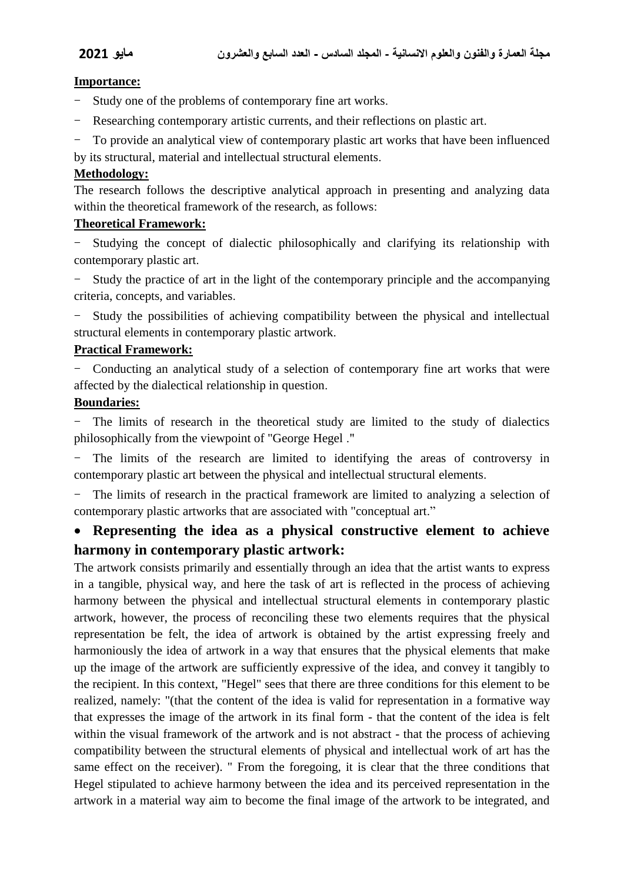#### **Importance:**

- Study one of the problems of contemporary fine art works.
- Researching contemporary artistic currents, and their reflections on plastic art.
- To provide an analytical view of contemporary plastic art works that have been influenced
- by its structural, material and intellectual structural elements.

#### **Methodology:**

The research follows the descriptive analytical approach in presenting and analyzing data within the theoretical framework of the research, as follows:

#### **Theoretical Framework:**

Studying the concept of dialectic philosophically and clarifying its relationship with contemporary plastic art.

- Study the practice of art in the light of the contemporary principle and the accompanying criteria, concepts, and variables.

- Study the possibilities of achieving compatibility between the physical and intellectual structural elements in contemporary plastic artwork.

#### **Practical Framework:**

- Conducting an analytical study of a selection of contemporary fine art works that were affected by the dialectical relationship in question.

#### **Boundaries:**

- The limits of research in the theoretical study are limited to the study of dialectics philosophically from the viewpoint of "George Hegel ."

- The limits of the research are limited to identifying the areas of controversy in contemporary plastic art between the physical and intellectual structural elements.

The limits of research in the practical framework are limited to analyzing a selection of contemporary plastic artworks that are associated with "conceptual art."

## **Representing the idea as a physical constructive element to achieve harmony in contemporary plastic artwork:**

The artwork consists primarily and essentially through an idea that the artist wants to express in a tangible, physical way, and here the task of art is reflected in the process of achieving harmony between the physical and intellectual structural elements in contemporary plastic artwork, however, the process of reconciling these two elements requires that the physical representation be felt, the idea of artwork is obtained by the artist expressing freely and harmoniously the idea of artwork in a way that ensures that the physical elements that make up the image of the artwork are sufficiently expressive of the idea, and convey it tangibly to the recipient. In this context, "Hegel" sees that there are three conditions for this element to be realized, namely: "(that the content of the idea is valid for representation in a formative way that expresses the image of the artwork in its final form - that the content of the idea is felt within the visual framework of the artwork and is not abstract - that the process of achieving compatibility between the structural elements of physical and intellectual work of art has the same effect on the receiver). " From the foregoing, it is clear that the three conditions that Hegel stipulated to achieve harmony between the idea and its perceived representation in the artwork in a material way aim to become the final image of the artwork to be integrated, and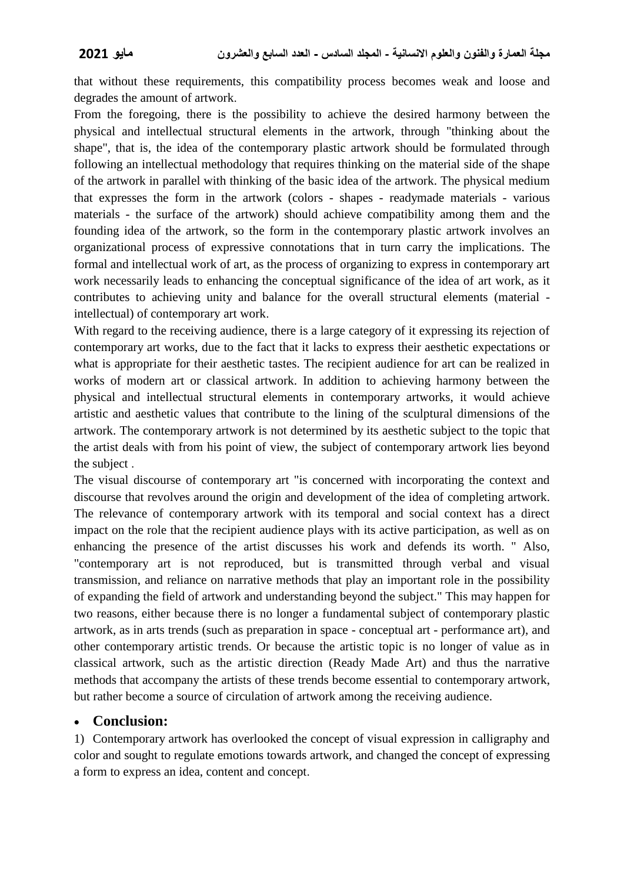that without these requirements, this compatibility process becomes weak and loose and degrades the amount of artwork.

From the foregoing, there is the possibility to achieve the desired harmony between the physical and intellectual structural elements in the artwork, through "thinking about the shape", that is, the idea of the contemporary plastic artwork should be formulated through following an intellectual methodology that requires thinking on the material side of the shape of the artwork in parallel with thinking of the basic idea of the artwork. The physical medium that expresses the form in the artwork (colors - shapes - readymade materials - various materials - the surface of the artwork) should achieve compatibility among them and the founding idea of the artwork, so the form in the contemporary plastic artwork involves an organizational process of expressive connotations that in turn carry the implications. The formal and intellectual work of art, as the process of organizing to express in contemporary art work necessarily leads to enhancing the conceptual significance of the idea of art work, as it contributes to achieving unity and balance for the overall structural elements (material intellectual) of contemporary art work.

With regard to the receiving audience, there is a large category of it expressing its rejection of contemporary art works, due to the fact that it lacks to express their aesthetic expectations or what is appropriate for their aesthetic tastes. The recipient audience for art can be realized in works of modern art or classical artwork. In addition to achieving harmony between the physical and intellectual structural elements in contemporary artworks, it would achieve artistic and aesthetic values that contribute to the lining of the sculptural dimensions of the artwork. The contemporary artwork is not determined by its aesthetic subject to the topic that the artist deals with from his point of view, the subject of contemporary artwork lies beyond the subject .

The visual discourse of contemporary art "is concerned with incorporating the context and discourse that revolves around the origin and development of the idea of completing artwork. The relevance of contemporary artwork with its temporal and social context has a direct impact on the role that the recipient audience plays with its active participation, as well as on enhancing the presence of the artist discusses his work and defends its worth. " Also, "contemporary art is not reproduced, but is transmitted through verbal and visual transmission, and reliance on narrative methods that play an important role in the possibility of expanding the field of artwork and understanding beyond the subject." This may happen for two reasons, either because there is no longer a fundamental subject of contemporary plastic artwork, as in arts trends (such as preparation in space - conceptual art - performance art), and other contemporary artistic trends. Or because the artistic topic is no longer of value as in classical artwork, such as the artistic direction (Ready Made Art) and thus the narrative methods that accompany the artists of these trends become essential to contemporary artwork, but rather become a source of circulation of artwork among the receiving audience.

### **Conclusion:**

1) Contemporary artwork has overlooked the concept of visual expression in calligraphy and color and sought to regulate emotions towards artwork, and changed the concept of expressing a form to express an idea, content and concept.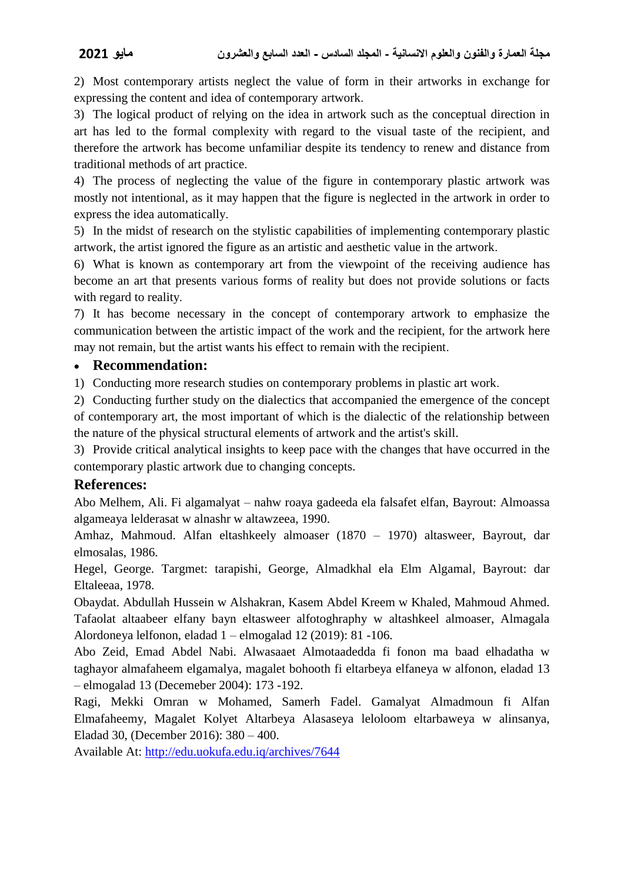2) Most contemporary artists neglect the value of form in their artworks in exchange for expressing the content and idea of contemporary artwork.

3) The logical product of relying on the idea in artwork such as the conceptual direction in art has led to the formal complexity with regard to the visual taste of the recipient, and therefore the artwork has become unfamiliar despite its tendency to renew and distance from traditional methods of art practice.

4) The process of neglecting the value of the figure in contemporary plastic artwork was mostly not intentional, as it may happen that the figure is neglected in the artwork in order to express the idea automatically.

5) In the midst of research on the stylistic capabilities of implementing contemporary plastic artwork, the artist ignored the figure as an artistic and aesthetic value in the artwork.

6) What is known as contemporary art from the viewpoint of the receiving audience has become an art that presents various forms of reality but does not provide solutions or facts with regard to reality.

7) It has become necessary in the concept of contemporary artwork to emphasize the communication between the artistic impact of the work and the recipient, for the artwork here may not remain, but the artist wants his effect to remain with the recipient.

#### **Recommendation:**

1) Conducting more research studies on contemporary problems in plastic art work.

2) Conducting further study on the dialectics that accompanied the emergence of the concept of contemporary art, the most important of which is the dialectic of the relationship between the nature of the physical structural elements of artwork and the artist's skill.

3) Provide critical analytical insights to keep pace with the changes that have occurred in the contemporary plastic artwork due to changing concepts.

### **References:**

Abo Melhem, Ali. Fi algamalyat – nahw roaya gadeeda ela falsafet elfan, Bayrout: Almoassa algameaya lelderasat w alnashr w altawzeea, 1990.

Amhaz, Mahmoud. Alfan eltashkeely almoaser (1870 – 1970) altasweer, Bayrout, dar elmosalas, 1986.

Hegel, George. Targmet: tarapishi, George, Almadkhal ela Elm Algamal, Bayrout: dar Eltaleeaa, 1978.

Obaydat. Abdullah Hussein w Alshakran, Kasem Abdel Kreem w Khaled, Mahmoud Ahmed. Tafaolat altaabeer elfany bayn eltasweer alfotoghraphy w altashkeel almoaser, Almagala Alordoneya lelfonon, eladad 1 – elmogalad 12 (2019): 81 -106.

Abo Zeid, Emad Abdel Nabi. Alwasaaet Almotaadedda fi fonon ma baad elhadatha w taghayor almafaheem elgamalya, magalet bohooth fi eltarbeya elfaneya w alfonon, eladad 13 – elmogalad 13 (Decemeber 2004): 173 -192.

Ragi, Mekki Omran w Mohamed, Samerh Fadel. Gamalyat Almadmoun fi Alfan Elmafaheemy, Magalet Kolyet Altarbeya Alasaseya leloloom eltarbaweya w alinsanya, Eladad 30, (December 2016): 380 – 400.

Available At:<http://edu.uokufa.edu.iq/archives/7644>